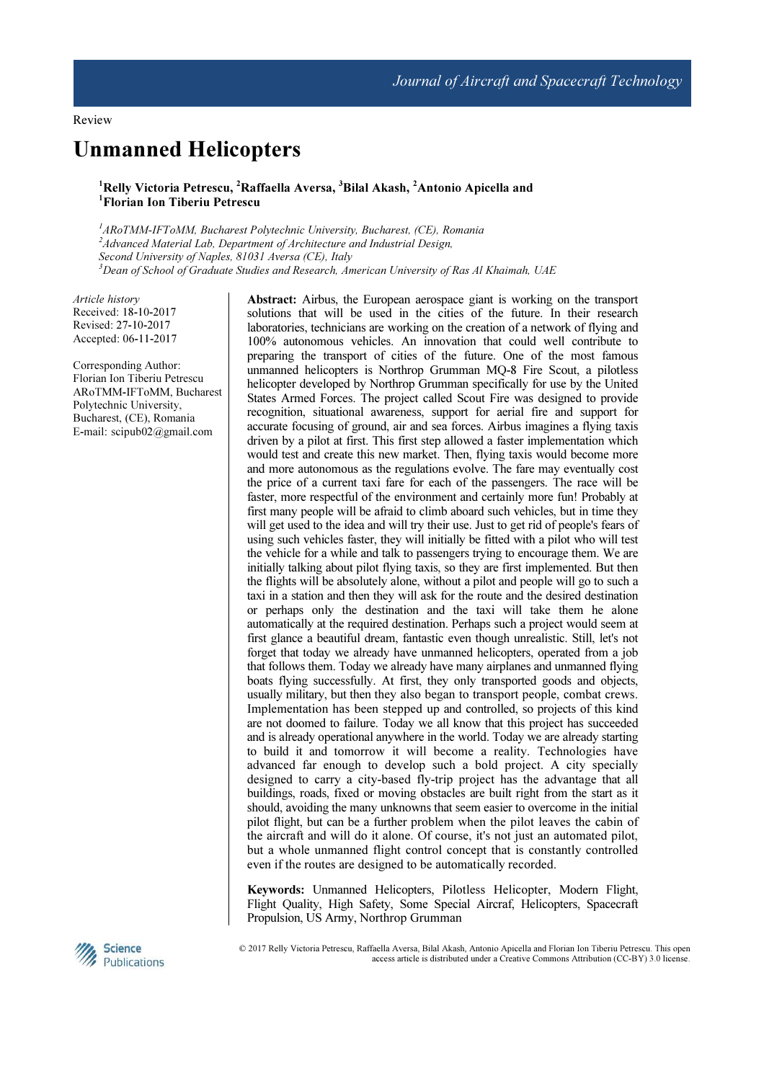# Unmanned Helicopters

#### $1$ Relly Victoria Petrescu, <sup>2</sup>Raffaella Aversa,  $3$ Bilal Akash,  $2$ Antonio Apicella and <sup>1</sup>Florian Ion Tiberiu Petrescu

 $1<sub>A</sub>RoTMM-IFToMM$ , Bucharest Polytechnic University, Bucharest, (CE), Romania  $2$ Advanced Material Lab, Department of Architecture and Industrial Design, Second University of Naples, 81031 Aversa (CE), Italy  $3$ Dean of School of Graduate Studies and Research, American University of Ras Al Khaimah, UAE

Article history Received: 18-10-2017 Revised: 27-10-2017 Accepted: 06-11-2017

Corresponding Author: Florian Ion Tiberiu Petrescu ARoTMM-IFToMM, Bucharest Polytechnic University, Bucharest, (CE), Romania E-mail: scipub02@gmail.com

Abstract: Airbus, the European aerospace giant is working on the transport solutions that will be used in the cities of the future. In their research laboratories, technicians are working on the creation of a network of flying and 100% autonomous vehicles. An innovation that could well contribute to preparing the transport of cities of the future. One of the most famous unmanned helicopters is Northrop Grumman MQ-8 Fire Scout, a pilotless helicopter developed by Northrop Grumman specifically for use by the United States Armed Forces. The project called Scout Fire was designed to provide recognition, situational awareness, support for aerial fire and support for accurate focusing of ground, air and sea forces. Airbus imagines a flying taxis driven by a pilot at first. This first step allowed a faster implementation which would test and create this new market. Then, flying taxis would become more and more autonomous as the regulations evolve. The fare may eventually cost the price of a current taxi fare for each of the passengers. The race will be faster, more respectful of the environment and certainly more fun! Probably at first many people will be afraid to climb aboard such vehicles, but in time they will get used to the idea and will try their use. Just to get rid of people's fears of using such vehicles faster, they will initially be fitted with a pilot who will test the vehicle for a while and talk to passengers trying to encourage them. We are initially talking about pilot flying taxis, so they are first implemented. But then the flights will be absolutely alone, without a pilot and people will go to such a taxi in a station and then they will ask for the route and the desired destination or perhaps only the destination and the taxi will take them he alone automatically at the required destination. Perhaps such a project would seem at first glance a beautiful dream, fantastic even though unrealistic. Still, let's not forget that today we already have unmanned helicopters, operated from a job that follows them. Today we already have many airplanes and unmanned flying boats flying successfully. At first, they only transported goods and objects, usually military, but then they also began to transport people, combat crews. Implementation has been stepped up and controlled, so projects of this kind are not doomed to failure. Today we all know that this project has succeeded and is already operational anywhere in the world. Today we are already starting to build it and tomorrow it will become a reality. Technologies have advanced far enough to develop such a bold project. A city specially designed to carry a city-based fly-trip project has the advantage that all buildings, roads, fixed or moving obstacles are built right from the start as it should, avoiding the many unknowns that seem easier to overcome in the initial pilot flight, but can be a further problem when the pilot leaves the cabin of the aircraft and will do it alone. Of course, it's not just an automated pilot, but a whole unmanned flight control concept that is constantly controlled even if the routes are designed to be automatically recorded.

Keywords: Unmanned Helicopters, Pilotless Helicopter, Modern Flight, Flight Quality, High Safety, Some Special Aircraf, Helicopters, Spacecraft Propulsion, US Army, Northrop Grumman



 © 2017 Relly Victoria Petrescu, Raffaella Aversa, Bilal Akash, Antonio Apicella and Florian Ion Tiberiu Petrescu. This open access article is distributed under a Creative Commons Attribution (CC-BY) 3.0 license.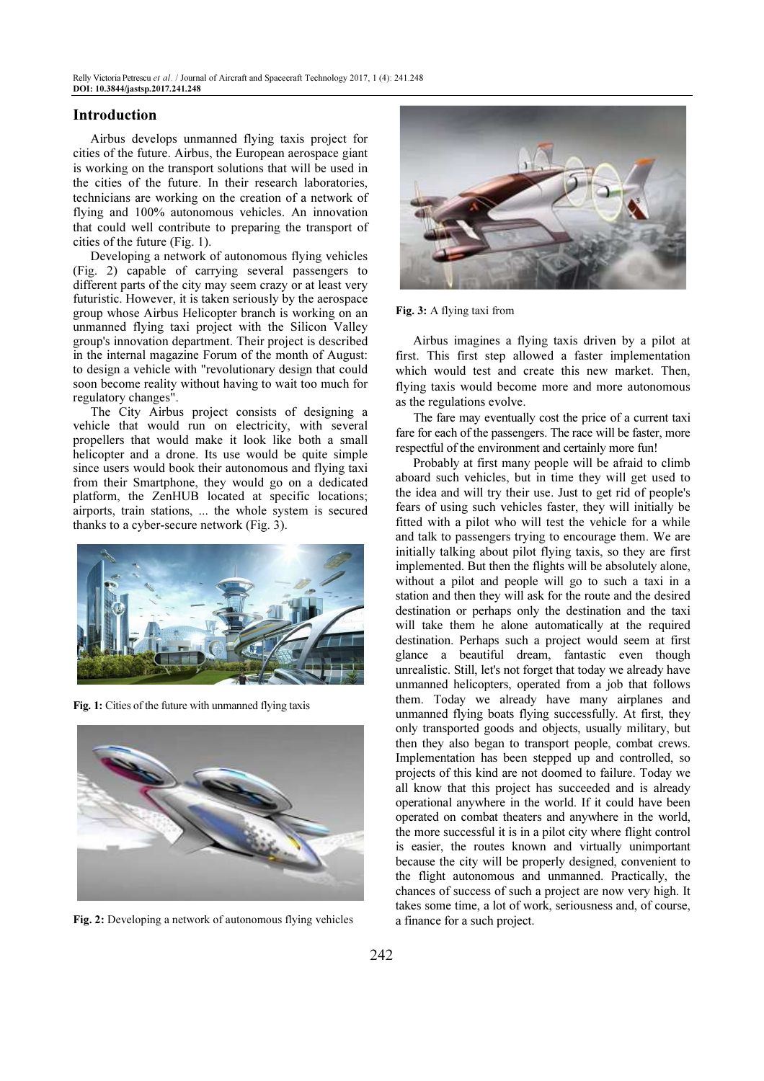#### Introduction

Airbus develops unmanned flying taxis project for cities of the future. Airbus, the European aerospace giant is working on the transport solutions that will be used in the cities of the future. In their research laboratories, technicians are working on the creation of a network of flying and 100% autonomous vehicles. An innovation that could well contribute to preparing the transport of cities of the future (Fig. 1).

Developing a network of autonomous flying vehicles (Fig. 2) capable of carrying several passengers to different parts of the city may seem crazy or at least very futuristic. However, it is taken seriously by the aerospace group whose Airbus Helicopter branch is working on an unmanned flying taxi project with the Silicon Valley group's innovation department. Their project is described in the internal magazine Forum of the month of August: to design a vehicle with "revolutionary design that could soon become reality without having to wait too much for regulatory changes".

The City Airbus project consists of designing a vehicle that would run on electricity, with several propellers that would make it look like both a small helicopter and a drone. Its use would be quite simple since users would book their autonomous and flying taxi from their Smartphone, they would go on a dedicated platform, the ZenHUB located at specific locations; airports, train stations, ... the whole system is secured thanks to a cyber-secure network (Fig. 3).



Fig. 1: Cities of the future with unmanned flying taxis



Fig. 2: Developing a network of autonomous flying vehicles



Fig. 3: A flying taxi from

Airbus imagines a flying taxis driven by a pilot at first. This first step allowed a faster implementation which would test and create this new market. Then, flying taxis would become more and more autonomous as the regulations evolve.

The fare may eventually cost the price of a current taxi fare for each of the passengers. The race will be faster, more respectful of the environment and certainly more fun!

Probably at first many people will be afraid to climb aboard such vehicles, but in time they will get used to the idea and will try their use. Just to get rid of people's fears of using such vehicles faster, they will initially be fitted with a pilot who will test the vehicle for a while and talk to passengers trying to encourage them. We are initially talking about pilot flying taxis, so they are first implemented. But then the flights will be absolutely alone, without a pilot and people will go to such a taxi in a station and then they will ask for the route and the desired destination or perhaps only the destination and the taxi will take them he alone automatically at the required destination. Perhaps such a project would seem at first glance a beautiful dream, fantastic even though unrealistic. Still, let's not forget that today we already have unmanned helicopters, operated from a job that follows them. Today we already have many airplanes and unmanned flying boats flying successfully. At first, they only transported goods and objects, usually military, but then they also began to transport people, combat crews. Implementation has been stepped up and controlled, so projects of this kind are not doomed to failure. Today we all know that this project has succeeded and is already operational anywhere in the world. If it could have been operated on combat theaters and anywhere in the world, the more successful it is in a pilot city where flight control is easier, the routes known and virtually unimportant because the city will be properly designed, convenient to the flight autonomous and unmanned. Practically, the chances of success of such a project are now very high. It takes some time, a lot of work, seriousness and, of course, a finance for a such project.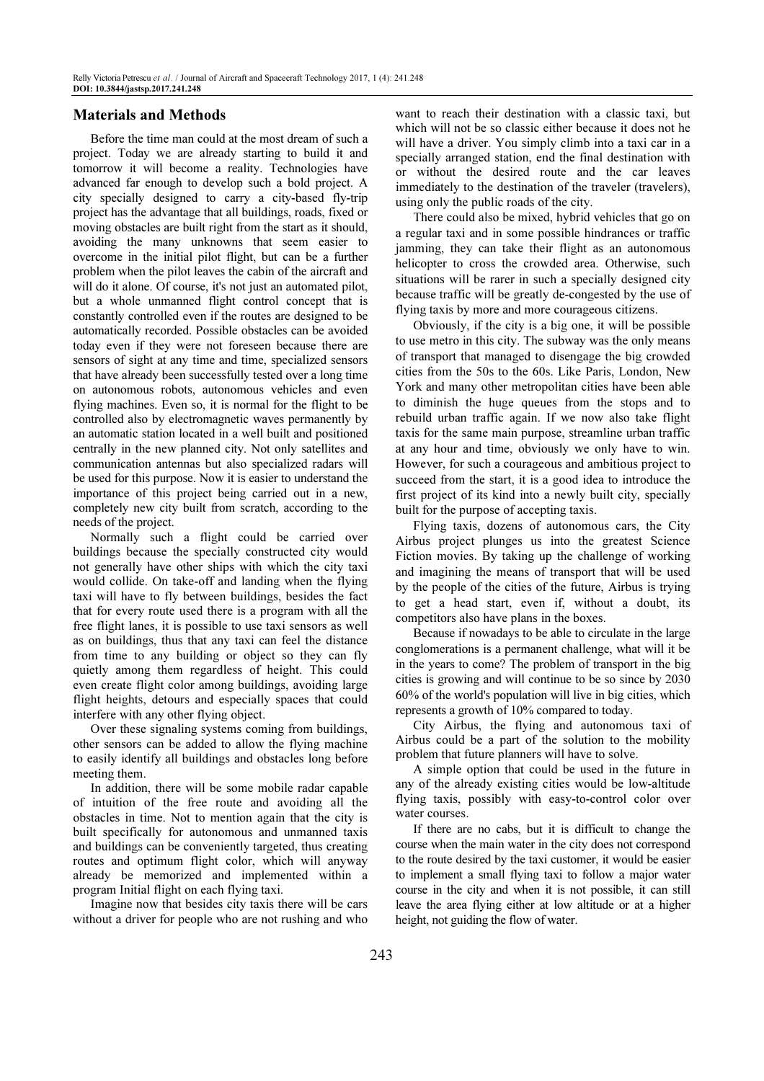# Materials and Methods

Before the time man could at the most dream of such a project. Today we are already starting to build it and tomorrow it will become a reality. Technologies have advanced far enough to develop such a bold project. A city specially designed to carry a city-based fly-trip project has the advantage that all buildings, roads, fixed or moving obstacles are built right from the start as it should, avoiding the many unknowns that seem easier to overcome in the initial pilot flight, but can be a further problem when the pilot leaves the cabin of the aircraft and will do it alone. Of course, it's not just an automated pilot, but a whole unmanned flight control concept that is constantly controlled even if the routes are designed to be automatically recorded. Possible obstacles can be avoided today even if they were not foreseen because there are sensors of sight at any time and time, specialized sensors that have already been successfully tested over a long time on autonomous robots, autonomous vehicles and even flying machines. Even so, it is normal for the flight to be controlled also by electromagnetic waves permanently by an automatic station located in a well built and positioned centrally in the new planned city. Not only satellites and communication antennas but also specialized radars will be used for this purpose. Now it is easier to understand the importance of this project being carried out in a new, completely new city built from scratch, according to the needs of the project.

Normally such a flight could be carried over buildings because the specially constructed city would not generally have other ships with which the city taxi would collide. On take-off and landing when the flying taxi will have to fly between buildings, besides the fact that for every route used there is a program with all the free flight lanes, it is possible to use taxi sensors as well as on buildings, thus that any taxi can feel the distance from time to any building or object so they can fly quietly among them regardless of height. This could even create flight color among buildings, avoiding large flight heights, detours and especially spaces that could interfere with any other flying object.

Over these signaling systems coming from buildings, other sensors can be added to allow the flying machine to easily identify all buildings and obstacles long before meeting them.

In addition, there will be some mobile radar capable of intuition of the free route and avoiding all the obstacles in time. Not to mention again that the city is built specifically for autonomous and unmanned taxis and buildings can be conveniently targeted, thus creating routes and optimum flight color, which will anyway already be memorized and implemented within a program Initial flight on each flying taxi.

Imagine now that besides city taxis there will be cars without a driver for people who are not rushing and who

want to reach their destination with a classic taxi, but which will not be so classic either because it does not he will have a driver. You simply climb into a taxi car in a specially arranged station, end the final destination with or without the desired route and the car leaves immediately to the destination of the traveler (travelers), using only the public roads of the city.

There could also be mixed, hybrid vehicles that go on a regular taxi and in some possible hindrances or traffic jamming, they can take their flight as an autonomous helicopter to cross the crowded area. Otherwise, such situations will be rarer in such a specially designed city because traffic will be greatly de-congested by the use of flying taxis by more and more courageous citizens.

Obviously, if the city is a big one, it will be possible to use metro in this city. The subway was the only means of transport that managed to disengage the big crowded cities from the 50s to the 60s. Like Paris, London, New York and many other metropolitan cities have been able to diminish the huge queues from the stops and to rebuild urban traffic again. If we now also take flight taxis for the same main purpose, streamline urban traffic at any hour and time, obviously we only have to win. However, for such a courageous and ambitious project to succeed from the start, it is a good idea to introduce the first project of its kind into a newly built city, specially built for the purpose of accepting taxis.

Flying taxis, dozens of autonomous cars, the City Airbus project plunges us into the greatest Science Fiction movies. By taking up the challenge of working and imagining the means of transport that will be used by the people of the cities of the future, Airbus is trying to get a head start, even if, without a doubt, its competitors also have plans in the boxes.

Because if nowadays to be able to circulate in the large conglomerations is a permanent challenge, what will it be in the years to come? The problem of transport in the big cities is growing and will continue to be so since by 2030 60% of the world's population will live in big cities, which represents a growth of 10% compared to today.

City Airbus, the flying and autonomous taxi of Airbus could be a part of the solution to the mobility problem that future planners will have to solve.

A simple option that could be used in the future in any of the already existing cities would be low-altitude flying taxis, possibly with easy-to-control color over water courses.

If there are no cabs, but it is difficult to change the course when the main water in the city does not correspond to the route desired by the taxi customer, it would be easier to implement a small flying taxi to follow a major water course in the city and when it is not possible, it can still leave the area flying either at low altitude or at a higher height, not guiding the flow of water.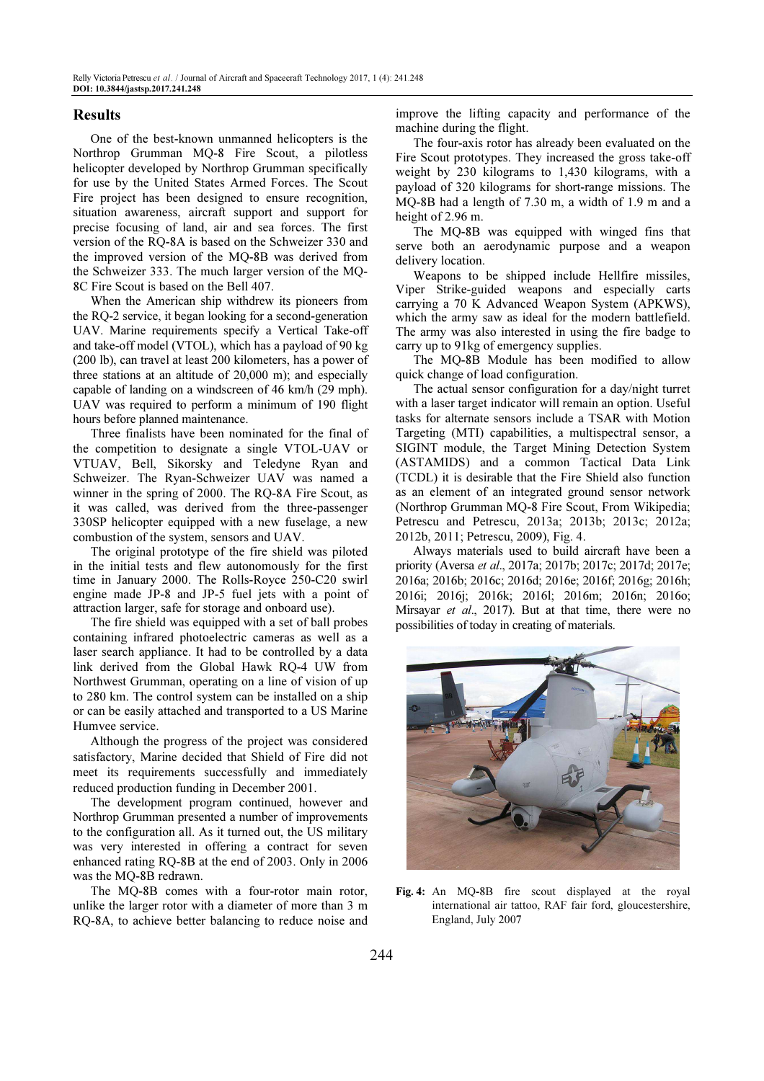#### Results

One of the best-known unmanned helicopters is the Northrop Grumman MQ-8 Fire Scout, a pilotless helicopter developed by Northrop Grumman specifically for use by the United States Armed Forces. The Scout Fire project has been designed to ensure recognition, situation awareness, aircraft support and support for precise focusing of land, air and sea forces. The first version of the RQ-8A is based on the Schweizer 330 and the improved version of the MQ-8B was derived from the Schweizer 333. The much larger version of the MQ-8C Fire Scout is based on the Bell 407.

When the American ship withdrew its pioneers from the RQ-2 service, it began looking for a second-generation UAV. Marine requirements specify a Vertical Take-off and take-off model (VTOL), which has a payload of 90 kg (200 lb), can travel at least 200 kilometers, has a power of three stations at an altitude of 20,000 m); and especially capable of landing on a windscreen of 46 km/h (29 mph). UAV was required to perform a minimum of 190 flight hours before planned maintenance.

Three finalists have been nominated for the final of the competition to designate a single VTOL-UAV or VTUAV, Bell, Sikorsky and Teledyne Ryan and Schweizer. The Ryan-Schweizer UAV was named a winner in the spring of 2000. The RQ-8A Fire Scout, as it was called, was derived from the three-passenger 330SP helicopter equipped with a new fuselage, a new combustion of the system, sensors and UAV.

The original prototype of the fire shield was piloted in the initial tests and flew autonomously for the first time in January 2000. The Rolls-Royce 250-C20 swirl engine made JP-8 and JP-5 fuel jets with a point of attraction larger, safe for storage and onboard use).

The fire shield was equipped with a set of ball probes containing infrared photoelectric cameras as well as a laser search appliance. It had to be controlled by a data link derived from the Global Hawk RQ-4 UW from Northwest Grumman, operating on a line of vision of up to 280 km. The control system can be installed on a ship or can be easily attached and transported to a US Marine Humvee service.

Although the progress of the project was considered satisfactory, Marine decided that Shield of Fire did not meet its requirements successfully and immediately reduced production funding in December 2001.

The development program continued, however and Northrop Grumman presented a number of improvements to the configuration all. As it turned out, the US military was very interested in offering a contract for seven enhanced rating RQ-8B at the end of 2003. Only in 2006 was the MQ-8B redrawn.

The MQ-8B comes with a four-rotor main rotor, unlike the larger rotor with a diameter of more than 3 m RQ-8A, to achieve better balancing to reduce noise and improve the lifting capacity and performance of the machine during the flight.

The four-axis rotor has already been evaluated on the Fire Scout prototypes. They increased the gross take-off weight by 230 kilograms to 1,430 kilograms, with a payload of 320 kilograms for short-range missions. The MQ-8B had a length of 7.30 m, a width of 1.9 m and a height of 2.96 m.

The MQ-8B was equipped with winged fins that serve both an aerodynamic purpose and a weapon delivery location.

Weapons to be shipped include Hellfire missiles, Viper Strike-guided weapons and especially carts carrying a 70 K Advanced Weapon System (APKWS), which the army saw as ideal for the modern battlefield. The army was also interested in using the fire badge to carry up to 91kg of emergency supplies.

The MQ-8B Module has been modified to allow quick change of load configuration.

The actual sensor configuration for a day/night turret with a laser target indicator will remain an option. Useful tasks for alternate sensors include a TSAR with Motion Targeting (MTI) capabilities, a multispectral sensor, a SIGINT module, the Target Mining Detection System (ASTAMIDS) and a common Tactical Data Link (TCDL) it is desirable that the Fire Shield also function as an element of an integrated ground sensor network (Northrop Grumman MQ-8 Fire Scout, From Wikipedia; Petrescu and Petrescu, 2013a; 2013b; 2013c; 2012a; 2012b, 2011; Petrescu, 2009), Fig. 4.

Always materials used to build aircraft have been a priority (Aversa et al., 2017a; 2017b; 2017c; 2017d; 2017e; 2016a; 2016b; 2016c; 2016d; 2016e; 2016f; 2016g; 2016h; 2016i; 2016j; 2016k; 2016l; 2016m; 2016n; 2016o; Mirsayar et al., 2017). But at that time, there were no possibilities of today in creating of materials.



Fig. 4: An MQ-8B fire scout displayed at the royal international air tattoo, RAF fair ford, gloucestershire, England, July 2007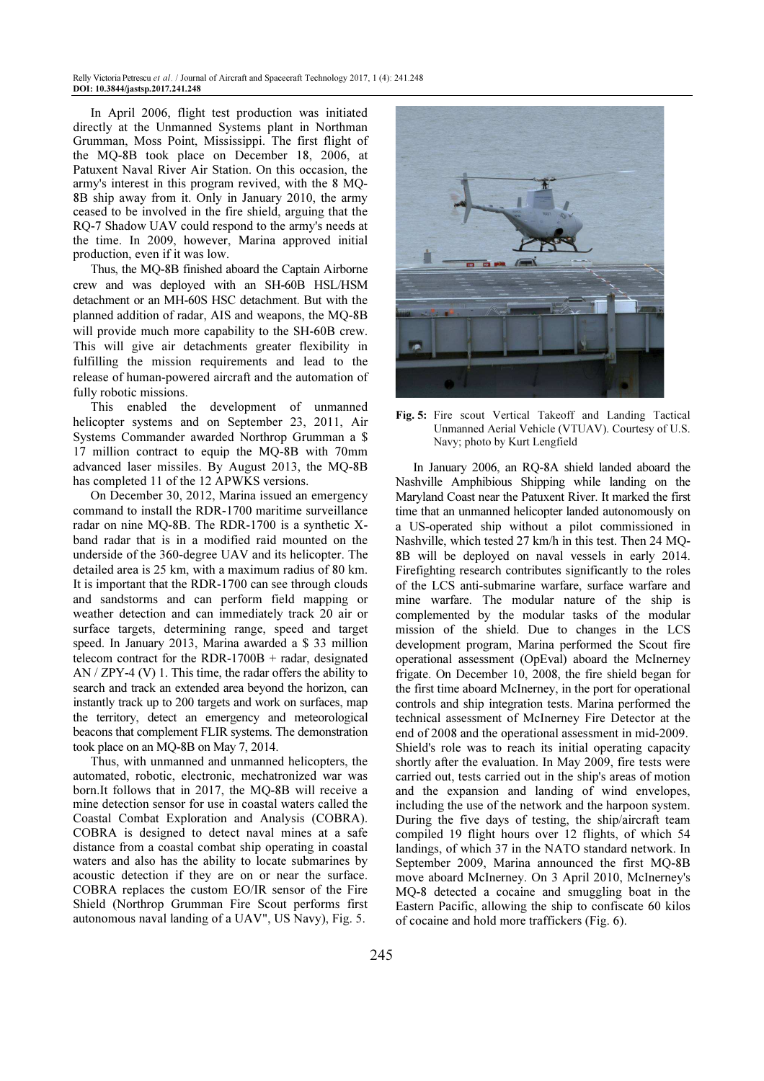In April 2006, flight test production was initiated directly at the Unmanned Systems plant in Northman Grumman, Moss Point, Mississippi. The first flight of the MQ-8B took place on December 18, 2006, at Patuxent Naval River Air Station. On this occasion, the army's interest in this program revived, with the 8 MQ-8B ship away from it. Only in January 2010, the army ceased to be involved in the fire shield, arguing that the RQ-7 Shadow UAV could respond to the army's needs at the time. In 2009, however, Marina approved initial production, even if it was low.

Thus, the MQ-8B finished aboard the Captain Airborne crew and was deployed with an SH-60B HSL/HSM detachment or an MH-60S HSC detachment. But with the planned addition of radar, AIS and weapons, the MQ-8B will provide much more capability to the SH-60B crew. This will give air detachments greater flexibility in fulfilling the mission requirements and lead to the release of human-powered aircraft and the automation of fully robotic missions.

This enabled the development of unmanned helicopter systems and on September 23, 2011, Air Systems Commander awarded Northrop Grumman a \$ 17 million contract to equip the MQ-8B with 70mm advanced laser missiles. By August 2013, the MQ-8B has completed 11 of the 12 APWKS versions.

On December 30, 2012, Marina issued an emergency command to install the RDR-1700 maritime surveillance radar on nine MQ-8B. The RDR-1700 is a synthetic Xband radar that is in a modified raid mounted on the underside of the 360-degree UAV and its helicopter. The detailed area is 25 km, with a maximum radius of 80 km. It is important that the RDR-1700 can see through clouds and sandstorms and can perform field mapping or weather detection and can immediately track 20 air or surface targets, determining range, speed and target speed. In January 2013, Marina awarded a \$ 33 million telecom contract for the RDR-1700B  $+$  radar, designated AN / ZPY-4 (V) 1. This time, the radar offers the ability to search and track an extended area beyond the horizon, can instantly track up to 200 targets and work on surfaces, map the territory, detect an emergency and meteorological beacons that complement FLIR systems. The demonstration took place on an MQ-8B on May 7, 2014.

Thus, with unmanned and unmanned helicopters, the automated, robotic, electronic, mechatronized war was born.It follows that in 2017, the MQ-8B will receive a mine detection sensor for use in coastal waters called the Coastal Combat Exploration and Analysis (COBRA). COBRA is designed to detect naval mines at a safe distance from a coastal combat ship operating in coastal waters and also has the ability to locate submarines by acoustic detection if they are on or near the surface. COBRA replaces the custom EO/IR sensor of the Fire Shield (Northrop Grumman Fire Scout performs first autonomous naval landing of a UAV", US Navy), Fig. 5.



Fig. 5: Fire scout Vertical Takeoff and Landing Tactical Unmanned Aerial Vehicle (VTUAV). Courtesy of U.S. Navy; photo by Kurt Lengfield

In January 2006, an RQ-8A shield landed aboard the Nashville Amphibious Shipping while landing on the Maryland Coast near the Patuxent River. It marked the first time that an unmanned helicopter landed autonomously on a US-operated ship without a pilot commissioned in Nashville, which tested 27 km/h in this test. Then 24 MQ-8B will be deployed on naval vessels in early 2014. Firefighting research contributes significantly to the roles of the LCS anti-submarine warfare, surface warfare and mine warfare. The modular nature of the ship is complemented by the modular tasks of the modular mission of the shield. Due to changes in the LCS development program, Marina performed the Scout fire operational assessment (OpEval) aboard the McInerney frigate. On December 10, 2008, the fire shield began for the first time aboard McInerney, in the port for operational controls and ship integration tests. Marina performed the technical assessment of McInerney Fire Detector at the end of 2008 and the operational assessment in mid-2009. Shield's role was to reach its initial operating capacity shortly after the evaluation. In May 2009, fire tests were carried out, tests carried out in the ship's areas of motion and the expansion and landing of wind envelopes, including the use of the network and the harpoon system. During the five days of testing, the ship/aircraft team compiled 19 flight hours over 12 flights, of which 54 landings, of which 37 in the NATO standard network. In September 2009, Marina announced the first MQ-8B move aboard McInerney. On 3 April 2010, McInerney's MQ-8 detected a cocaine and smuggling boat in the Eastern Pacific, allowing the ship to confiscate 60 kilos of cocaine and hold more traffickers (Fig. 6).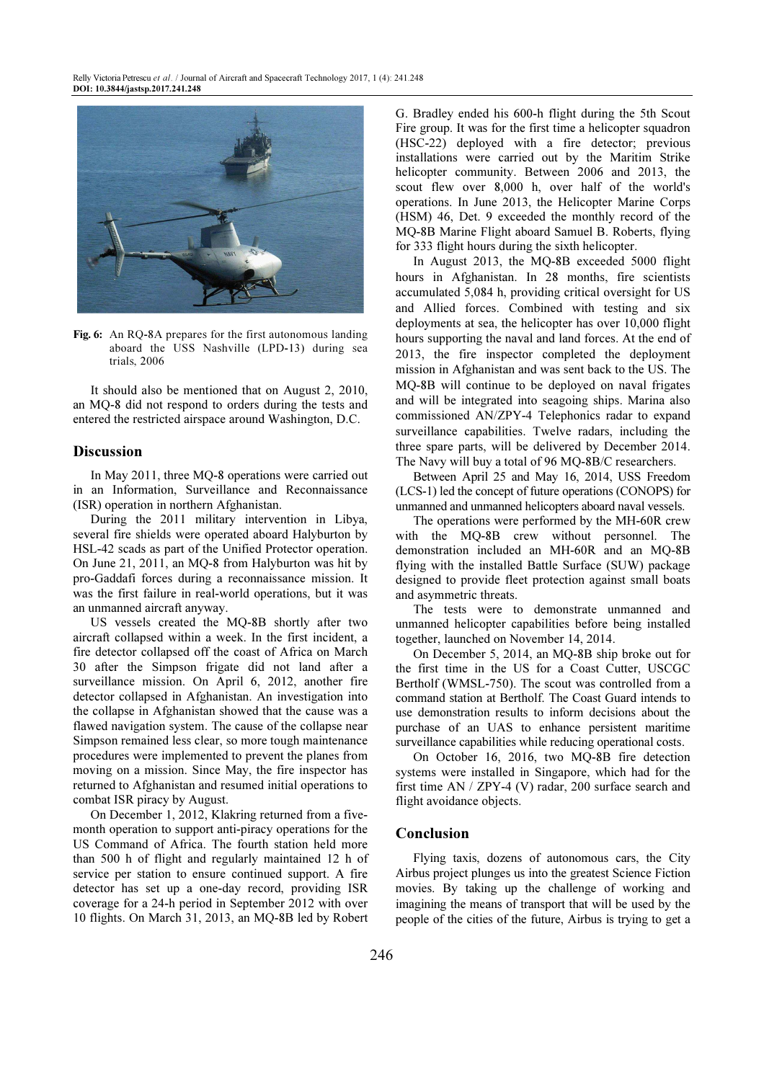

Fig. 6: An RQ-8A prepares for the first autonomous landing aboard the USS Nashville (LPD-13) during sea trials, 2006

It should also be mentioned that on August 2, 2010, an MQ-8 did not respond to orders during the tests and entered the restricted airspace around Washington, D.C.

#### Discussion

In May 2011, three MQ-8 operations were carried out in an Information, Surveillance and Reconnaissance (ISR) operation in northern Afghanistan.

During the 2011 military intervention in Libya, several fire shields were operated aboard Halyburton by HSL-42 scads as part of the Unified Protector operation. On June 21, 2011, an MQ-8 from Halyburton was hit by pro-Gaddafi forces during a reconnaissance mission. It was the first failure in real-world operations, but it was an unmanned aircraft anyway.

US vessels created the MQ-8B shortly after two aircraft collapsed within a week. In the first incident, a fire detector collapsed off the coast of Africa on March 30 after the Simpson frigate did not land after a surveillance mission. On April 6, 2012, another fire detector collapsed in Afghanistan. An investigation into the collapse in Afghanistan showed that the cause was a flawed navigation system. The cause of the collapse near Simpson remained less clear, so more tough maintenance procedures were implemented to prevent the planes from moving on a mission. Since May, the fire inspector has returned to Afghanistan and resumed initial operations to combat ISR piracy by August.

On December 1, 2012, Klakring returned from a fivemonth operation to support anti-piracy operations for the US Command of Africa. The fourth station held more than 500 h of flight and regularly maintained 12 h of service per station to ensure continued support. A fire detector has set up a one-day record, providing ISR coverage for a 24-h period in September 2012 with over 10 flights. On March 31, 2013, an MQ-8B led by Robert

G. Bradley ended his 600-h flight during the 5th Scout Fire group. It was for the first time a helicopter squadron (HSC-22) deployed with a fire detector; previous installations were carried out by the Maritim Strike helicopter community. Between 2006 and 2013, the scout flew over 8,000 h, over half of the world's operations. In June 2013, the Helicopter Marine Corps (HSM) 46, Det. 9 exceeded the monthly record of the MQ-8B Marine Flight aboard Samuel B. Roberts, flying for 333 flight hours during the sixth helicopter.

In August 2013, the MQ-8B exceeded 5000 flight hours in Afghanistan. In 28 months, fire scientists accumulated 5,084 h, providing critical oversight for US and Allied forces. Combined with testing and six deployments at sea, the helicopter has over 10,000 flight hours supporting the naval and land forces. At the end of 2013, the fire inspector completed the deployment mission in Afghanistan and was sent back to the US. The MQ-8B will continue to be deployed on naval frigates and will be integrated into seagoing ships. Marina also commissioned AN/ZPY-4 Telephonics radar to expand surveillance capabilities. Twelve radars, including the three spare parts, will be delivered by December 2014. The Navy will buy a total of 96 MQ-8B/C researchers.

Between April 25 and May 16, 2014, USS Freedom (LCS-1) led the concept of future operations (CONOPS) for unmanned and unmanned helicopters aboard naval vessels.

The operations were performed by the MH-60R crew with the MQ-8B crew without personnel. The demonstration included an MH-60R and an MQ-8B flying with the installed Battle Surface (SUW) package designed to provide fleet protection against small boats and asymmetric threats.

The tests were to demonstrate unmanned and unmanned helicopter capabilities before being installed together, launched on November 14, 2014.

On December 5, 2014, an MQ-8B ship broke out for the first time in the US for a Coast Cutter, USCGC Bertholf (WMSL-750). The scout was controlled from a command station at Bertholf. The Coast Guard intends to use demonstration results to inform decisions about the purchase of an UAS to enhance persistent maritime surveillance capabilities while reducing operational costs.

On October 16, 2016, two MQ-8B fire detection systems were installed in Singapore, which had for the first time AN / ZPY-4 (V) radar, 200 surface search and flight avoidance objects.

#### Conclusion

Flying taxis, dozens of autonomous cars, the City Airbus project plunges us into the greatest Science Fiction movies. By taking up the challenge of working and imagining the means of transport that will be used by the people of the cities of the future, Airbus is trying to get a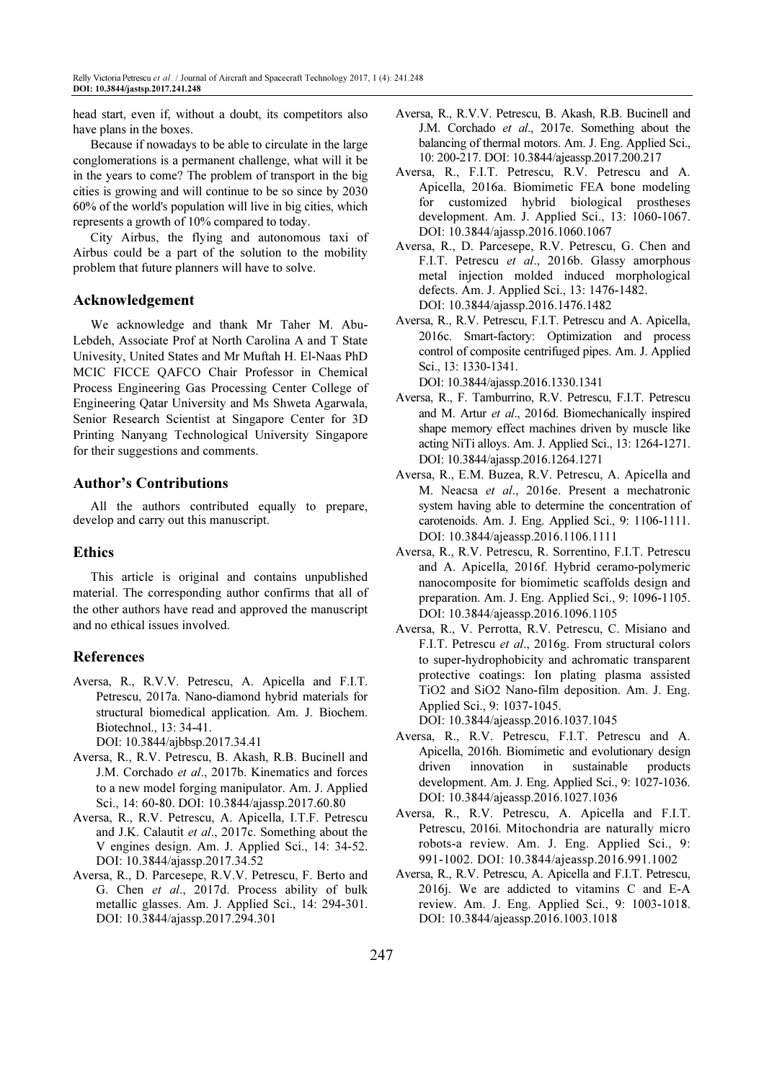head start, even if, without a doubt, its competitors also have plans in the boxes.

Because if nowadays to be able to circulate in the large conglomerations is a permanent challenge, what will it be in the years to come? The problem of transport in the big cities is growing and will continue to be so since by 2030 60% of the world's population will live in big cities, which represents a growth of 10% compared to today.

City Airbus, the flying and autonomous taxi of Airbus could be a part of the solution to the mobility problem that future planners will have to solve.

### Acknowledgement

We acknowledge and thank Mr Taher M. Abu-Lebdeh, Associate Prof at North Carolina A and T State Univesity, United States and Mr Muftah H. El-Naas PhD MCIC FICCE QAFCO Chair Professor in Chemical Process Engineering Gas Processing Center College of Engineering Qatar University and Ms Shweta Agarwala, Senior Research Scientist at Singapore Center for 3D Printing Nanyang Technological University Singapore for their suggestions and comments.

# Author's Contributions

All the authors contributed equally to prepare, develop and carry out this manuscript.

# Ethics

This article is original and contains unpublished material. The corresponding author confirms that all of the other authors have read and approved the manuscript and no ethical issues involved.

#### References

Aversa, R., R.V.V. Petrescu, A. Apicella and F.I.T. Petrescu, 2017a. Nano-diamond hybrid materials for structural biomedical application. Am. J. Biochem. Biotechnol., 13: 34-41. DOI: 10.3844/ajbbsp.2017.34.41

Aversa, R., R.V. Petrescu, B. Akash, R.B. Bucinell and J.M. Corchado et al., 2017b. Kinematics and forces

- to a new model forging manipulator. Am. J. Applied Sci., 14: 60-80. DOI: 10.3844/ajassp.2017.60.80
- Aversa, R., R.V. Petrescu, A. Apicella, I.T.F. Petrescu and J.K. Calautit et al., 2017c. Something about the V engines design. Am. J. Applied Sci., 14: 34-52. DOI: 10.3844/ajassp.2017.34.52
- Aversa, R., D. Parcesepe, R.V.V. Petrescu, F. Berto and G. Chen et al., 2017d. Process ability of bulk metallic glasses. Am. J. Applied Sci., 14: 294-301. DOI: 10.3844/ajassp.2017.294.301
- Aversa, R., R.V.V. Petrescu, B. Akash, R.B. Bucinell and J.M. Corchado et al., 2017e. Something about the balancing of thermal motors. Am. J. Eng. Applied Sci., 10: 200-217. DOI: 10.3844/ajeassp.2017.200.217
- Aversa, R., F.I.T. Petrescu, R.V. Petrescu and A. Apicella, 2016a. Biomimetic FEA bone modeling for customized hybrid biological prostheses development. Am. J. Applied Sci., 13: 1060-1067. DOI: 10.3844/ajassp.2016.1060.1067
- Aversa, R., D. Parcesepe, R.V. Petrescu, G. Chen and F.I.T. Petrescu et al., 2016b. Glassy amorphous metal injection molded induced morphological defects. Am. J. Applied Sci., 13: 1476-1482. DOI: 10.3844/ajassp.2016.1476.1482
- Aversa, R., R.V. Petrescu, F.I.T. Petrescu and A. Apicella, 2016c. Smart-factory: Optimization and process control of composite centrifuged pipes. Am. J. Applied Sci., 13: 1330-1341.

 DOI: 10.3844/ajassp.2016.1330.1341 Aversa, R., F. Tamburrino, R.V. Petrescu, F.I.T. Petrescu

- and M. Artur et al., 2016d. Biomechanically inspired shape memory effect machines driven by muscle like acting NiTi alloys. Am. J. Applied Sci., 13: 1264-1271. DOI: 10.3844/ajassp.2016.1264.1271
- Aversa, R., E.M. Buzea, R.V. Petrescu, A. Apicella and M. Neacsa et al., 2016e. Present a mechatronic system having able to determine the concentration of carotenoids. Am. J. Eng. Applied Sci., 9: 1106-1111. DOI: 10.3844/ajeassp.2016.1106.1111
- Aversa, R., R.V. Petrescu, R. Sorrentino, F.I.T. Petrescu and A. Apicella, 2016f. Hybrid ceramo-polymeric nanocomposite for biomimetic scaffolds design and preparation. Am. J. Eng. Applied Sci., 9: 1096-1105. DOI: 10.3844/ajeassp.2016.1096.1105
- Aversa, R., V. Perrotta, R.V. Petrescu, C. Misiano and F.I.T. Petrescu et al., 2016g. From structural colors to super-hydrophobicity and achromatic transparent protective coatings: Ion plating plasma assisted TiO2 and SiO2 Nano-film deposition. Am. J. Eng. Applied Sci., 9: 1037-1045. DOI: 10.3844/ajeassp.2016.1037.1045

Aversa, R., R.V. Petrescu, F.I.T. Petrescu and A. Apicella, 2016h. Biomimetic and evolutionary design driven innovation in sustainable products development. Am. J. Eng. Applied Sci., 9: 1027-1036. DOI: 10.3844/ajeassp.2016.1027.1036

- Aversa, R., R.V. Petrescu, A. Apicella and F.I.T. Petrescu, 2016i. Mitochondria are naturally micro robots-a review. Am. J. Eng. Applied Sci., 9: 991-1002. DOI: 10.3844/ajeassp.2016.991.1002
- Aversa, R., R.V. Petrescu, A. Apicella and F.I.T. Petrescu, 2016j. We are addicted to vitamins C and E-A review. Am. J. Eng. Applied Sci., 9: 1003-1018. DOI: 10.3844/ajeassp.2016.1003.1018